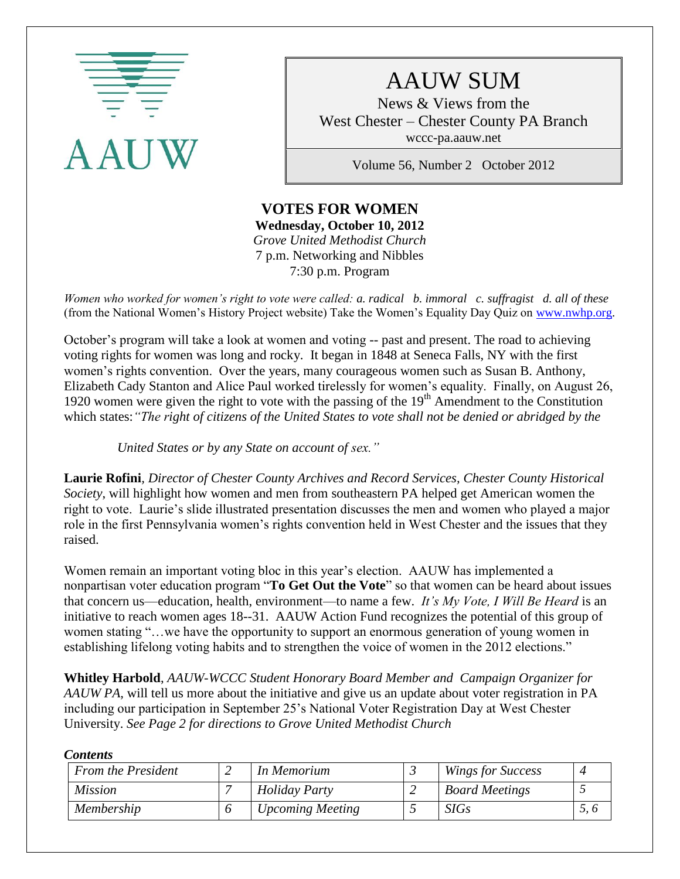

# AAUW SUM

News & Views from the West Chester – Chester County PA Branch wccc-pa.aauw.net

Volume 56, Number 2 October 2012

#### **VOTES FOR WOMEN Wednesday, October 10, 2012** *Grove United Methodist Church* 7 p.m. Networking and Nibbles 7:30 p.m. Program

*Women who worked for women's right to vote were called: a. radical b. immoral c. suffragist d. all of these*  (from the National Women's History Project website) Take the Women's Equality Day Quiz on [www.nwhp.org.](http://www.nwhp.org/)

October's program will take a look at women and voting -- past and present. The road to achieving voting rights for women was long and rocky. It began in 1848 at Seneca Falls, NY with the first women's rights convention. Over the years, many courageous women such as Susan B. Anthony, Elizabeth Cady Stanton and Alice Paul worked tirelessly for women's equality. Finally, on August 26, 1920 women were given the right to vote with the passing of the  $19<sup>th</sup>$  Amendment to the Constitution which states:*"The right of citizens of the United States to vote shall not be denied or abridged by the* 

 *United States or by any State on account of sex."*

**Laurie Rofini***, Director of Chester County Archives and Record Services, Chester County Historical Society*, will highlight how women and men from southeastern PA helped get American women the right to vote. Laurie's slide illustrated presentation discusses the men and women who played a major role in the first Pennsylvania women's rights convention held in West Chester and the issues that they raised.

Women remain an important voting bloc in this year's election. AAUW has implemented a nonpartisan voter education program "**To Get Out the Vote**" so that women can be heard about issues that concern us—education, health, environment—to name a few. *It's My Vote, I Will Be Heard* is an initiative to reach women ages 18--31. AAUW Action Fund recognizes the potential of this group of women stating "…we have the opportunity to support an enormous generation of young women in establishing lifelong voting habits and to strengthen the voice of women in the 2012 elections."

**Whitley Harbold**, *AAUW-WCCC Student Honorary Board Member and Campaign Organizer for AAUW PA,* will tell us more about the initiative and give us an update about voter registration in PA including our participation in September 25's National Voter Registration Day at West Chester University. *See Page 2 for directions to Grove United Methodist Church*

*Contents*

| <b>From the President</b> | In Memorium             | <b>Wings for Success</b> |  |
|---------------------------|-------------------------|--------------------------|--|
| <i>Mission</i>            | <b>Holiday Party</b>    | <b>Board Meetings</b>    |  |
| Membership                | <b>Upcoming Meeting</b> | <b>SIGs</b>              |  |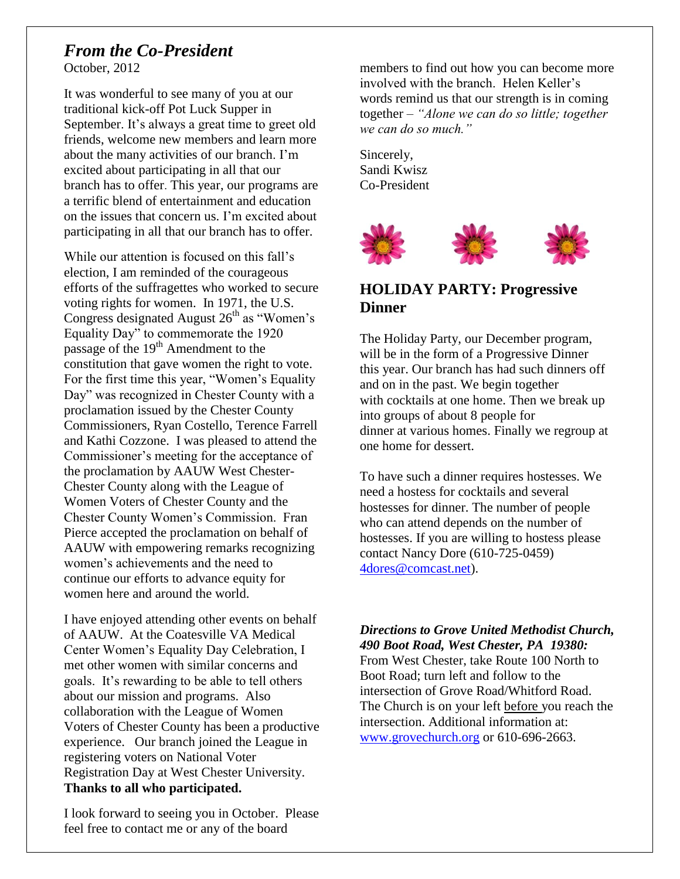# *From the Co-President*

October, 2012

It was wonderful to see many of you at our traditional kick-off Pot Luck Supper in September. It's always a great time to greet old friends, welcome new members and learn more about the many activities of our branch. I'm excited about participating in all that our branch has to offer. This year, our programs are a terrific blend of entertainment and education on the issues that concern us. I'm excited about participating in all that our branch has to offer.

While our attention is focused on this fall's election, I am reminded of the courageous efforts of the suffragettes who worked to secure voting rights for women. In 1971, the U.S. Congress designated August  $26<sup>th</sup>$  as "Women's Equality Day" to commemorate the 1920 passage of the  $19<sup>th</sup>$  Amendment to the constitution that gave women the right to vote. For the first time this year, "Women's Equality Day" was recognized in Chester County with a proclamation issued by the Chester County Commissioners, Ryan Costello, Terence Farrell and Kathi Cozzone. I was pleased to attend the Commissioner's meeting for the acceptance of the proclamation by AAUW West Chester-Chester County along with the League of Women Voters of Chester County and the Chester County Women's Commission. Fran Pierce accepted the proclamation on behalf of AAUW with empowering remarks recognizing women's achievements and the need to continue our efforts to advance equity for women here and around the world.

I have enjoyed attending other events on behalf of AAUW. At the Coatesville VA Medical Center Women's Equality Day Celebration, I met other women with similar concerns and goals. It's rewarding to be able to tell others about our mission and programs. Also collaboration with the League of Women Voters of Chester County has been a productive experience. Our branch joined the League in registering voters on National Voter Registration Day at West Chester University. **Thanks to all who participated.**

I look forward to seeing you in October. Please feel free to contact me or any of the board

members to find out how you can become more involved with the branch. Helen Keller's words remind us that our strength is in coming together – *"Alone we can do so little; together we can do so much."*

Sincerely, Sandi Kwisz Co-President



# **HOLIDAY PARTY: Progressive Dinner**

The Holiday Party, our December program, will be in the form of a Progressive Dinner this year. Our branch has had such dinners off and on in the past. We begin together with cocktails at one home. Then we break up into groups of about 8 people for dinner at various homes. Finally we regroup at one home for dessert.

To have such a dinner requires hostesses. We need a hostess for cocktails and several hostesses for dinner. The number of people who can attend depends on the number of hostesses. If you are willing to hostess please contact Nancy Dore (610-725-0459) [4dores@comcast.net\)](mailto:4dores@comcast.net).

*Directions to Grove United Methodist Church, 490 Boot Road, West Chester, PA 19380:* From West Chester, take Route 100 North to Boot Road; turn left and follow to the intersection of Grove Road/Whitford Road. The Church is on your left before you reach the intersection. Additional information at: [www.grovechurch.org](http://www.grovechurch.org/) or 610-696-2663.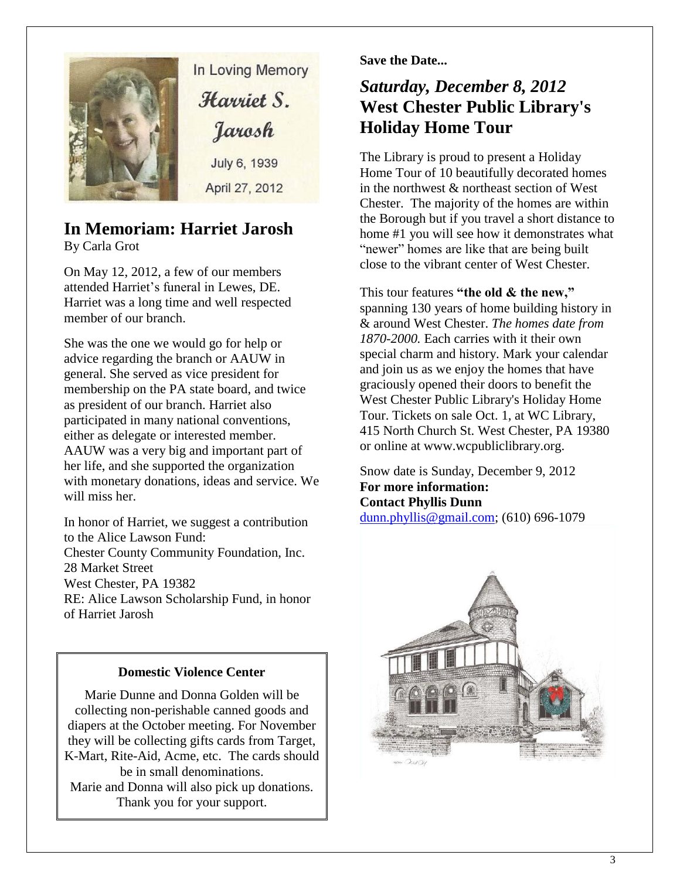

In Loving Memory Harriet S. Jarosh July 6, 1939

April 27, 2012

# **In Memoriam: Harriet Jarosh**

By Carla Grot

On May 12, 2012, a few of our members attended Harriet's funeral in Lewes, DE. Harriet was a long time and well respected member of our branch.

She was the one we would go for help or advice regarding the branch or AAUW in general. She served as vice president for membership on the PA state board, and twice as president of our branch. Harriet also participated in many national conventions, either as delegate or interested member. AAUW was a very big and important part of her life, and she supported the organization with monetary donations, ideas and service. We will miss her.

In honor of Harriet, we suggest a contribution to the Alice Lawson Fund: Chester County Community Foundation, Inc. 28 Market Street West Chester, PA 19382 RE: Alice Lawson Scholarship Fund, in honor of Harriet Jarosh

### **Domestic Violence Center**

Marie Dunne and Donna Golden will be collecting non-perishable canned goods and diapers at the October meeting. For November they will be collecting gifts cards from Target, K-Mart, Rite-Aid, Acme, etc. The cards should be in small denominations. Marie and Donna will also pick up donations. Thank you for your support.

**Save the Date...**

# *Saturday, December 8, 2012* **West Chester Public Library's Holiday Home Tour**

The Library is proud to present a Holiday Home Tour of 10 beautifully decorated homes in the northwest & northeast section of West Chester. The majority of the homes are within the Borough but if you travel a short distance to home #1 you will see how it demonstrates what "newer" homes are like that are being built close to the vibrant center of West Chester.

This tour features **"the old & the new,"** spanning 130 years of home building history in & around West Chester. *The homes date from 1870-2000.* Each carries with it their own special charm and history. Mark your calendar and join us as we enjoy the homes that have graciously opened their doors to benefit the West Chester Public Library's Holiday Home Tour. Tickets on sale Oct. 1, at WC Library, 415 North Church St. West Chester, PA 19380 or online at www.wcpubliclibrary.org.

Snow date is Sunday, December 9, 2012 **For more information: Contact Phyllis Dunn**  [dunn.phyllis@gmail.com;](mailto:dunn.phyllis@gmail.com) (610) 696-1079

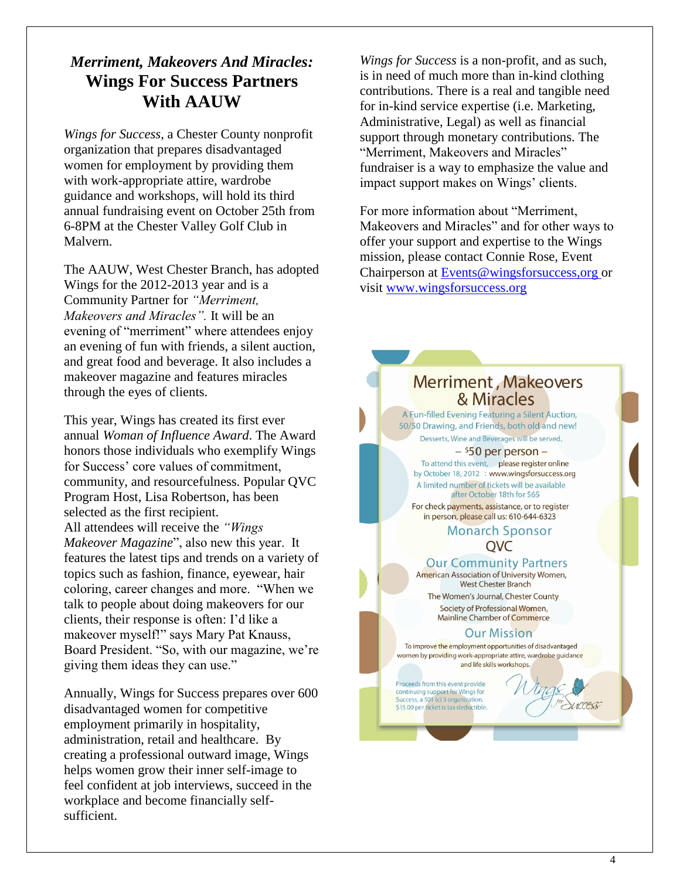# *Merriment, Makeovers And Miracles:* **Wings For Success Partners With AAUW**

*Wings for Success*, a Chester County nonprofit organization that prepares disadvantaged women for employment by providing them with work-appropriate attire, wardrobe guidance and workshops, will hold its third annual fundraising event on October 25th from 6-8PM at the Chester Valley Golf Club in Malvern.

The AAUW, West Chester Branch, has adopted Wings for the 2012-2013 year and is a Community Partner for *"Merriment, Makeovers and Miracles".* It will be an evening of "merriment" where attendees enjoy an evening of fun with friends, a silent auction, and great food and beverage. It also includes a makeover magazine and features miracles through the eyes of clients.

This year, Wings has created its first ever annual *Woman of Influence Award*. The Award honors those individuals who exemplify Wings for Success' core values of commitment, community, and resourcefulness. Popular QVC Program Host, Lisa Robertson, has been selected as the first recipient. All attendees will receive the *"Wings Makeover Magazine*", also new this year. It features the latest tips and trends on a variety of topics such as fashion, finance, eyewear, hair coloring, career changes and more. "When we talk to people about doing makeovers for our clients, their response is often: I'd like a makeover myself!" says Mary Pat Knauss, Board President. "So, with our magazine, we're giving them ideas they can use."

Annually, Wings for Success prepares over 600 disadvantaged women for competitive employment primarily in hospitality, administration, retail and healthcare. By creating a professional outward image, Wings helps women grow their inner self-image to feel confident at job interviews, succeed in the workplace and become financially selfsufficient.

*Wings for Success* is a non-profit, and as such, is in need of much more than in-kind clothing contributions. There is a real and tangible need for in-kind service expertise (i.e. Marketing, Administrative, Legal) as well as financial support through monetary contributions. The "Merriment, Makeovers and Miracles" fundraiser is a way to emphasize the value and impact support makes on Wings' clients.

For more information about "Merriment, Makeovers and Miracles" and for other ways to offer your support and expertise to the Wings mission, please contact Connie Rose, Event Chairperson at [Events@wingsforsuccess,org](http://Events@wingsforsuccess,org/) or visit [www.wingsforsuccess.org](http://www.wingsforsuccess.org/)

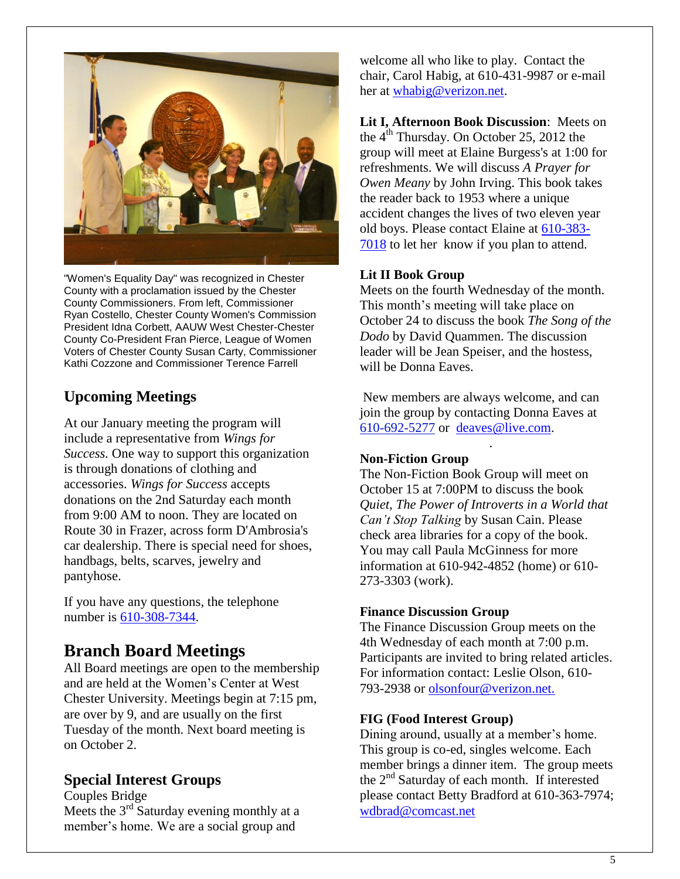

"Women's Equality Day" was recognized in Chester County with a proclamation issued by the Chester County Commissioners. From left, Commissioner Ryan Costello, Chester County Women's Commission President Idna Corbett, AAUW West Chester-Chester County Co-President Fran Pierce, League of Women Voters of Chester County Susan Carty, Commissioner Kathi Cozzone and Commissioner Terence Farrell

# **Upcoming Meetings**

At our January meeting the program will include a representative from *Wings for Success.* One way to support this organization is through donations of clothing and accessories. *Wings for Success* accepts donations on the 2nd Saturday each month from 9:00 AM to noon. They are located on Route 30 in Frazer, across form D'Ambrosia's car dealership. There is special need for shoes, handbags, belts, scarves, jewelry and pantyhose.

If you have any questions, the telephone number is [610-308-7344.](tel:610-308-7344)

# **Branch Board Meetings**

All Board meetings are open to the membership and are held at the Women's Center at West Chester University. Meetings begin at 7:15 pm, are over by 9, and are usually on the first Tuesday of the month. Next board meeting is on October 2.

# **Special Interest Groups**

Couples Bridge Meets the 3<sup>rd</sup> Saturday evening monthly at a member's home. We are a social group and

welcome all who like to play. Contact the chair, Carol Habig, at 610-431-9987 or e-mail her at [whabig@verizon.net.](mailto:whabig@verizon.net)

**Lit I, Afternoon Book Discussion**: Meets on the  $4<sup>th</sup>$  Thursday. On October 25, 2012 the group will meet at Elaine Burgess's at 1:00 for refreshments. We will discuss *A Prayer for Owen Meany* by John Irving. This book takes the reader back to 1953 where a unique accident changes the lives of two eleven year old boys. Please contact Elaine at [610-383-](tel:610-383-7018) [7018](tel:610-383-7018) to let her know if you plan to attend.

#### **Lit II Book Group**

Meets on the fourth Wednesday of the month. This month's meeting will take place on October 24 to discuss the book *The Song of the Dodo* by David Quammen. The discussion leader will be Jean Speiser, and the hostess, will be Donna Eaves.

New members are always welcome, and can join the group by contacting Donna Eaves at [610-692-5277](tel:/610-692-5277) or [deaves@live.com.](mailto:deaves@live.com)

.

#### **Non-Fiction Group**

The Non-Fiction Book Group will meet on October 15 at 7:00PM to discuss the book *Quiet, The Power of Introverts in a World that Can't Stop Talking* by Susan Cain. Please check area libraries for a copy of the book. You may call Paula McGinness for more information at 610-942-4852 (home) or 610- 273-3303 (work).

#### **Finance Discussion Group**

The Finance Discussion Group meets on the 4th Wednesday of each month at 7:00 p.m. Participants are invited to bring related articles. For information contact: Leslie Olson, 610- 793-2938 or olsonfour@verizon.net.

#### **FIG (Food Interest Group)**

Dining around, usually at a member's home. This group is co-ed, singles welcome. Each member brings a dinner item. The group meets the 2nd Saturday of each month. If interested please contact Betty Bradford at 610-363-7974; [wdbrad@comcast.net](mailto:wdbrad@comcast.net)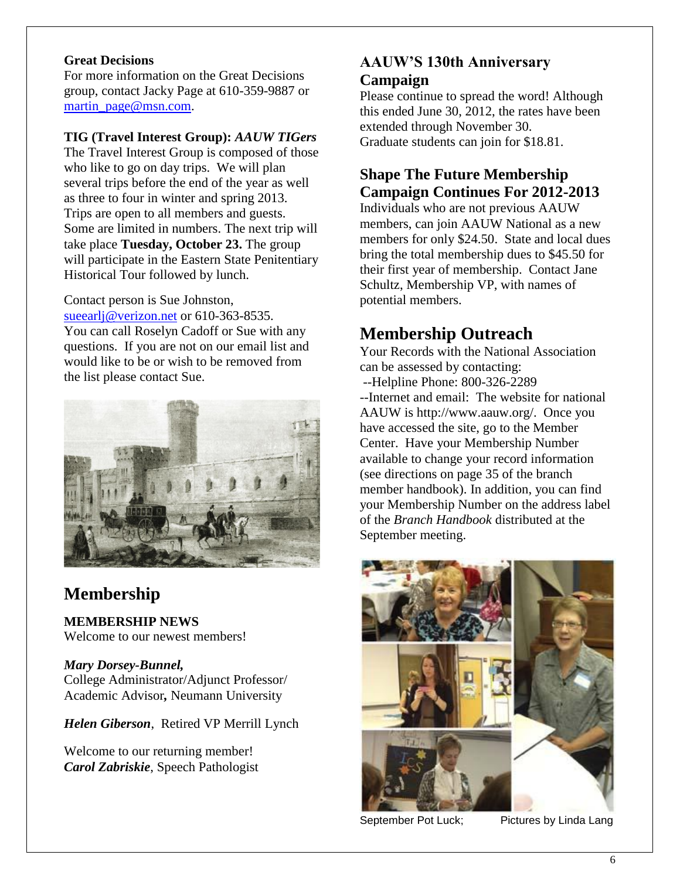#### **Great Decisions**

For more information on the Great Decisions group, contact Jacky Page at 610-359-9887 or [martin\\_page@msn.com.](mailto:martin_page@msn.com)

#### **TIG (Travel Interest Group):** *AAUW TIGers*

The Travel Interest Group is composed of those who like to go on day trips. We will plan several trips before the end of the year as well as three to four in winter and spring 2013. Trips are open to all members and guests. Some are limited in numbers. The next trip will take place **Tuesday, October 23.** The group will participate in the Eastern State Penitentiary Historical Tour followed by lunch.

Contact person is Sue Johnston, [sueearlj@verizon.net](mailto:sueearlj@verizon.net) or 610-363-8535.

You can call Roselyn Cadoff or Sue with any questions. If you are not on our email list and would like to be or wish to be removed from the list please contact Sue.



# **Membership**

**MEMBERSHIP NEWS**  Welcome to our newest members!

#### *Mary Dorsey-Bunnel,*

College Administrator/Adjunct Professor/ Academic Advisor*,* Neumann University

*Helen Giberson*, Retired VP Merrill Lynch

Welcome to our returning member! *Carol Zabriskie*, Speech Pathologist

# **AAUW'S 130th Anniversary Campaign**

Please continue to spread the word! Although this ended June 30, 2012, the rates have been extended through November 30. Graduate students can join for \$18.81.

# **Shape The Future Membership Campaign Continues For 2012-2013**

Individuals who are not previous AAUW members, can join AAUW National as a new members for only \$24.50. State and local dues bring the total membership dues to \$45.50 for their first year of membership. Contact Jane Schultz, Membership VP, with names of potential members.

# **Membership Outreach**

Your Records with the National Association can be assessed by contacting: --Helpline Phone: 800-326-2289 --Internet and email: The website for national AAUW is http://www.aauw.org/. Once you have accessed the site, go to the Member Center. Have your Membership Number available to change your record information (see directions on page 35 of the branch member handbook). In addition, you can find your Membership Number on the address label of the *Branch Handbook* distributed at the September meeting.



September Pot Luck; Pictures by Linda Lang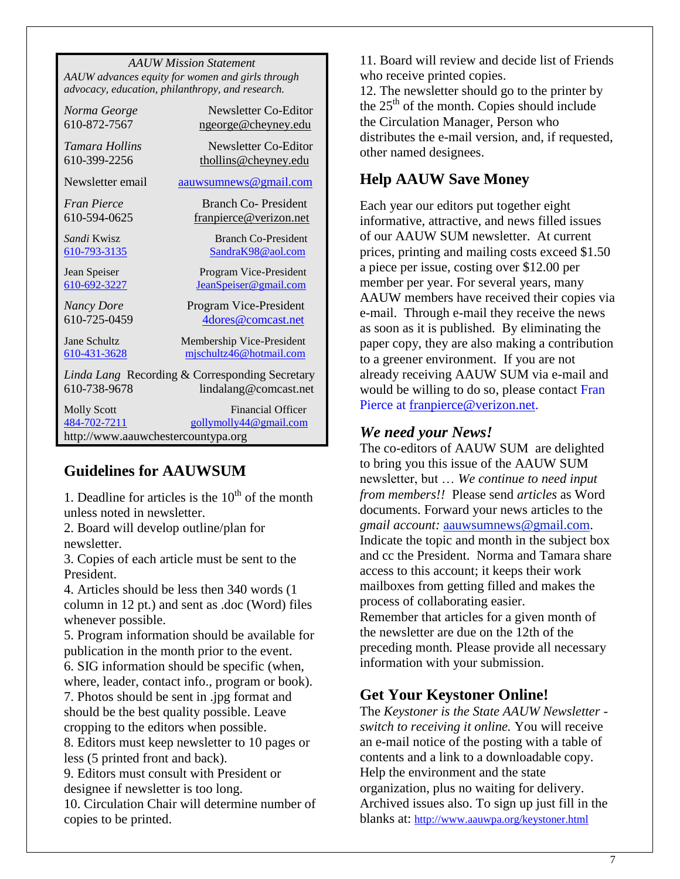*AAUW Mission Statement AAUW advances equity for women and girls through advocacy, education, philanthropy, and research.*

| Norma George                                                                            | Newsletter Co-Editor                               |  |  |
|-----------------------------------------------------------------------------------------|----------------------------------------------------|--|--|
| 610-872-7567                                                                            | ngeorge@cheyney.edu                                |  |  |
| Tamara Hollins                                                                          | Newsletter Co-Editor                               |  |  |
| 610-399-2256                                                                            | thollins@cheyney.edu                               |  |  |
| Newsletter email                                                                        | aauwsumnews@gmail.com                              |  |  |
| Fran Pierce                                                                             | Branch Co-President                                |  |  |
| 610-594-0625                                                                            | franpierce@verizon.net                             |  |  |
| Sandi Kwisz                                                                             | <b>Branch Co-President</b>                         |  |  |
| 610-793-3135                                                                            | SandraK98@aol.com                                  |  |  |
| Jean Speiser                                                                            | Program Vice-President                             |  |  |
| 610-692-3227                                                                            | JeanSpeiser@gmail.com                              |  |  |
| <b>Nancy Dore</b>                                                                       | Program Vice-President                             |  |  |
| 610-725-0459                                                                            | 4dores@comcast.net                                 |  |  |
| Jane Schultz                                                                            | Membership Vice-President                          |  |  |
| 610-431-3628                                                                            | mischultz46@hotmail.com                            |  |  |
| Linda Lang Recording & Corresponding Secretary<br>610-738-9678<br>lindalang@comcast.net |                                                    |  |  |
| <b>Molly Scott</b><br>484-702-7211<br>http://www.aauwchestercountypa.org                | <b>Financial Officer</b><br>gollymolly44@gmail.com |  |  |

## **Guidelines for AAUWSUM**

1. Deadline for articles is the  $10<sup>th</sup>$  of the month unless noted in newsletter.

2. Board will develop outline/plan for newsletter.

3. Copies of each article must be sent to the President.

4. Articles should be less then 340 words (1 column in 12 pt.) and sent as .doc (Word) files whenever possible.

5. Program information should be available for publication in the month prior to the event.

6. SIG information should be specific (when, where, leader, contact info., program or book).

7. Photos should be sent in .jpg format and should be the best quality possible. Leave cropping to the editors when possible.

8. Editors must keep newsletter to 10 pages or less (5 printed front and back).

9. Editors must consult with President or designee if newsletter is too long.

10. Circulation Chair will determine number of copies to be printed.

11. Board will review and decide list of Friends who receive printed copies.

12. The newsletter should go to the printer by the  $25<sup>th</sup>$  of the month. Copies should include the Circulation Manager, Person who distributes the e-mail version, and, if requested, other named designees.

# **Help AAUW Save Money**

Each year our editors put together eight informative, attractive, and news filled issues of our AAUW SUM newsletter. At current prices, printing and mailing costs exceed \$1.50 a piece per issue, costing over \$12.00 per member per year. For several years, many AAUW members have received their copies via e-mail. Through e-mail they receive the news as soon as it is published. By eliminating the paper copy, they are also making a contribution to a greener environment. If you are not already receiving AAUW SUM via e-mail and would be willing to do so, please contact Fran Pierce at [franpierce@verizon.net.](mailto:franpierce@verizon.net)

### *We need your News!*

The co-editors of AAUW SUM are delighted to bring you this issue of the AAUW SUM newsletter, but … *We continue to need input from members!!* Please send *articles* as Word documents. Forward your news articles to the *gmail account:* [aauwsumnews@gmail.com.](mailto:aauwsum@gmail.com) Indicate the topic and month in the subject box and cc the President. Norma and Tamara share access to this account; it keeps their work mailboxes from getting filled and makes the process of collaborating easier. Remember that articles for a given month of the newsletter are due on the 12th of the preceding month*.* Please provide all necessary information with your submission.

# **Get Your Keystoner Online!**

The *Keystoner is the State AAUW Newsletter switch to receiving it online.* You will receive an e-mail notice of the posting with a table of contents and a link to a downloadable copy. Help the environment and the state organization, plus no waiting for delivery. Archived issues also. To sign up just fill in the blanks at: <http://www.aauwpa.org/keystoner.html>